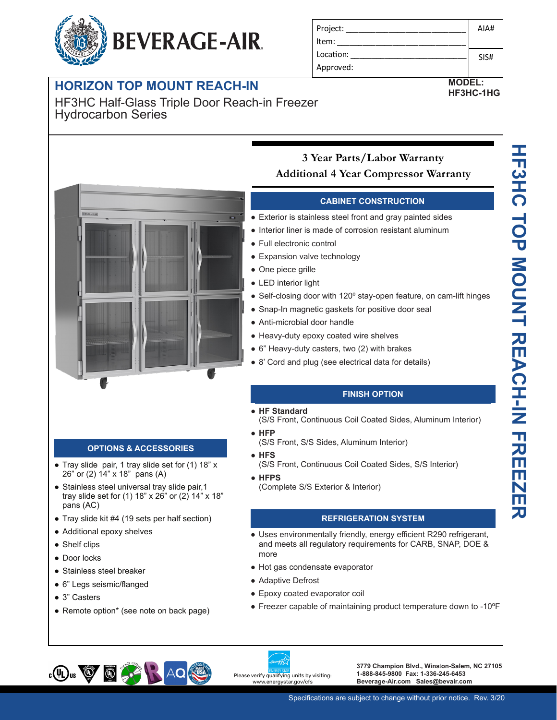# **BEVERAGE-AIR.**

### **HORIZON TOP MOUNT REACH-IN**

**-10 Secure temperature-sensitive product for worry-free operation** HF3HC Half-Glass Triple Door Reach-in Freezer Hydrocarbon Series

| Project:  | AIA# |
|-----------|------|
| l Item:   |      |
| Location: | SIS# |
| Approved: |      |

#### **MODEL: HF3HC-1HG**



#### **OPTIONS & ACCESSORIES**

- Tray slide pair, 1 tray slide set for (1) 18" x 26" or (2) 14" x 18" pans (A)
- Stainless steel universal tray slide pair, 1 tray slide set for (1) 18" x 26" or (2) 14" x 18" pans (AC)
- Tray slide kit #4 (19 sets per half section)
- Additional epoxy shelves
- Shelf clips
- Door locks
- Stainless steel breaker
- 6" Legs seismic/flanged
- 3" Casters

 $_{c}$ (U<sub>L</sub>)<sub>us</sub>  $\bigcircled{g}$ 

• Remote option\* (see note on back page)

#### **Secure temperature-sensitive product for worry-free operation 3 Year Parts/Labor Warranty LED indicator to quickly view status Additional 4 Year Compressor Warranty**

#### **CABINET CONSTRUCTION**

- <sub>→</sub> → → → → → → → → → → → Exterior is stainless steel front and gray painted sides
	- **LED indicator indicator liner is made of corrosion resistant aluminum** 
		- Full electronic control
		- Expansion valve technology
		- One piece grille

**Easy-access test switch for health inspectors Built-in safety feature allow escape in case of accidental lock-in**

- LED interior light
- Self-closing door with 120° stay-open feature, on cam-lift hinges
- Snap-In magnetic gaskets for positive door seal
- Anti-microbial door handle
- Heavy-duty epoxy coated wire shelves
- 6" Heavy-duty casters, two (2) with brakes
- 8' Cord and plug (see electrical data for details)

#### **FINISH OPTION**

- **HF Standard**
- (S/S Front, Continuous Coil Coated Sides, Aluminum Interior)
- **HFP**
	- (S/S Front, S/S Sides, Aluminum Interior)
- **HFS**
	- (S/S Front, Continuous Coil Coated Sides, S/S Interior)
- **HFPS**
	- (Complete S/S Exterior & Interior)

#### **REFRIGERATION SYSTEM**

- Uses environmentally friendly, energy efficient R290 refrigerant, and meets all regulatory requirements for CARB, SNAP, DOE & more
- Hot gas condensate evaporator
- Adaptive Defrost
- Epoxy coated evaporator coil
- Freezer capable of maintaining product temperature down to -10ºF



**3779 Champion Blvd., Wins**t**on-Salem, NC 27105 1-888-845-9800 Fax: 1-336-245-6453 Beverage-Air.com Sales@bevair.com**